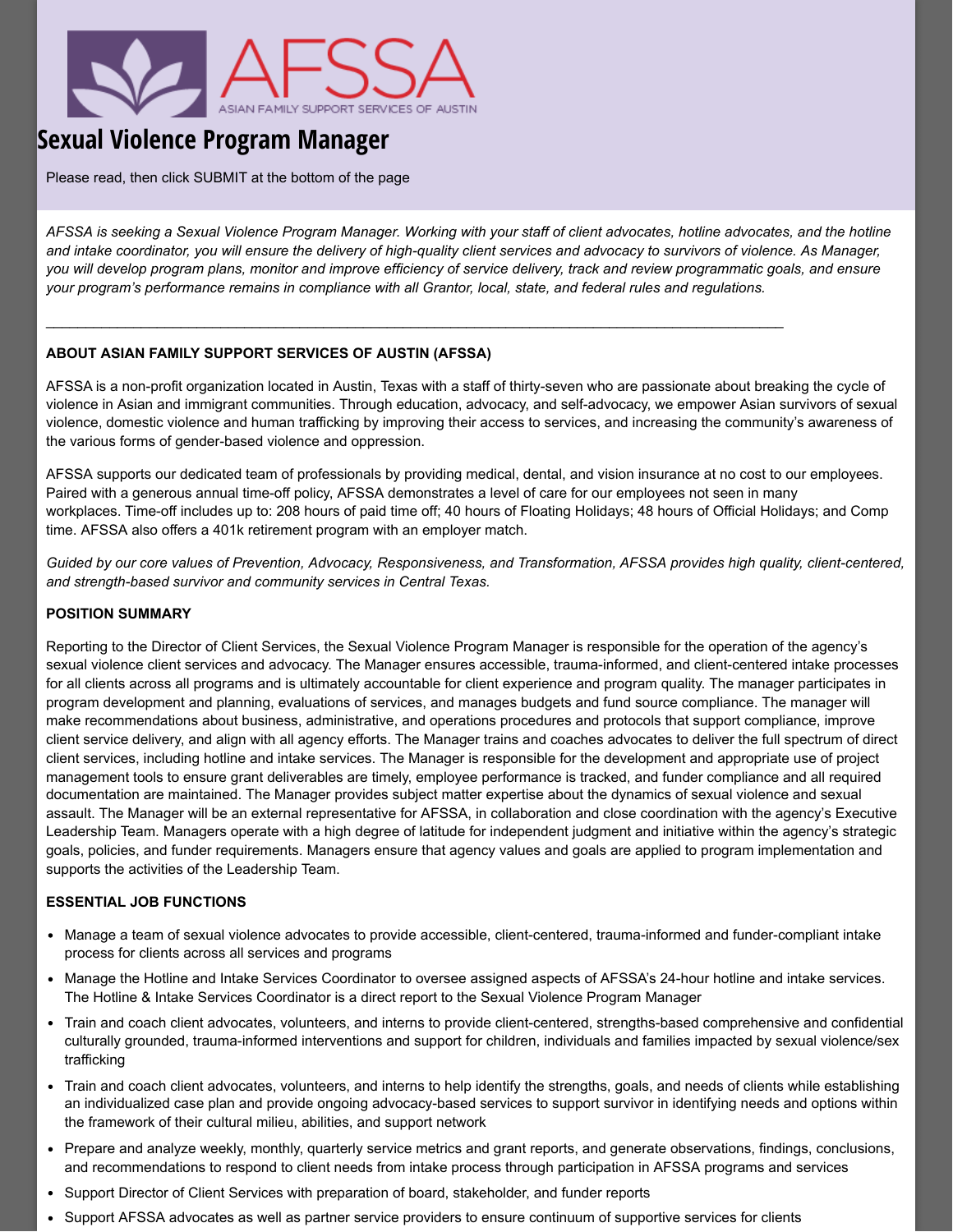

# **Sexual Violence Program Manager**

Please read, then click SUBMIT at the bottom of the page

*AFSSA is seeking a Sexual Violence Program Manager. Working with your staff of client advocates, hotline advocates, and the hotline and intake coordinator, you will ensure the delivery of high-quality client services and advocacy to survivors of violence. As Manager, you will develop program plans, monitor and improve efficiency of service delivery, track and review programmatic goals, and ensure your program's performance remains in compliance with all Grantor, local, state, and federal rules and regulations.*

 $\_$  , and the state of the state of the state of the state of the state of the state of the state of the state of the state of the state of the state of the state of the state of the state of the state of the state of the

## **ABOUT ASIAN FAMILY SUPPORT SERVICES OF AUSTIN (AFSSA)**

AFSSA is a non-profit organization located in Austin, Texas with a staff of thirty-seven who are passionate about breaking the cycle of violence in Asian and immigrant communities. Through education, advocacy, and self-advocacy, we empower Asian survivors of sexual violence, domestic violence and human trafficking by improving their access to services, and increasing the community's awareness of the various forms of gender-based violence and oppression.

AFSSA supports our dedicated team of professionals by providing medical, dental, and vision insurance at no cost to our employees. Paired with a generous annual time-off policy, AFSSA demonstrates a level of care for our employees not seen in many workplaces. Time-off includes up to: 208 hours of paid time off; 40 hours of Floating Holidays; 48 hours of Official Holidays; and Comp time. AFSSA also offers a 401k retirement program with an employer match.

*Guided by our core values of Prevention, Advocacy, Responsiveness, and Transformation, AFSSA provides high quality, client-centered, and strength-based survivor and community services in Central Texas.*

#### **POSITION SUMMARY**

Reporting to the Director of Client Services, the Sexual Violence Program Manager is responsible for the operation of the agency's sexual violence client services and advocacy. The Manager ensures accessible, trauma-informed, and client-centered intake processes for all clients across all programs and is ultimately accountable for client experience and program quality. The manager participates in program development and planning, evaluations of services, and manages budgets and fund source compliance. The manager will make recommendations about business, administrative, and operations procedures and protocols that support compliance, improve client service delivery, and align with all agency efforts. The Manager trains and coaches advocates to deliver the full spectrum of direct client services, including hotline and intake services. The Manager is responsible for the development and appropriate use of project management tools to ensure grant deliverables are timely, employee performance is tracked, and funder compliance and all required documentation are maintained. The Manager provides subject matter expertise about the dynamics of sexual violence and sexual assault. The Manager will be an external representative for AFSSA, in collaboration and close coordination with the agency's Executive Leadership Team. Managers operate with a high degree of latitude for independent judgment and initiative within the agency's strategic goals, policies, and funder requirements. Managers ensure that agency values and goals are applied to program implementation and supports the activities of the Leadership Team.

### **ESSENTIAL JOB FUNCTIONS**

- Manage a team of sexual violence advocates to provide accessible, client-centered, trauma-informed and funder-compliant intake process for clients across all services and programs
- Manage the Hotline and Intake Services Coordinator to oversee assigned aspects of AFSSA's 24-hour hotline and intake services. The Hotline & Intake Services Coordinator is a direct report to the Sexual Violence Program Manager
- Train and coach client advocates, volunteers, and interns to provide client-centered, strengths-based comprehensive and confidential culturally grounded, trauma-informed interventions and support for children, individuals and families impacted by sexual violence/sex trafficking
- Train and coach client advocates, volunteers, and interns to help identify the strengths, goals, and needs of clients while establishing an individualized case plan and provide ongoing advocacy-based services to support survivor in identifying needs and options within the framework of their cultural milieu, abilities, and support network
- Prepare and analyze weekly, monthly, quarterly service metrics and grant reports, and generate observations, findings, conclusions, and recommendations to respond to client needs from intake process through participation in AFSSA programs and services
- Support Director of Client Services with preparation of board, stakeholder, and funder reports
- Support AFSSA advocates as well as partner service providers to ensure continuum of supportive services for clients